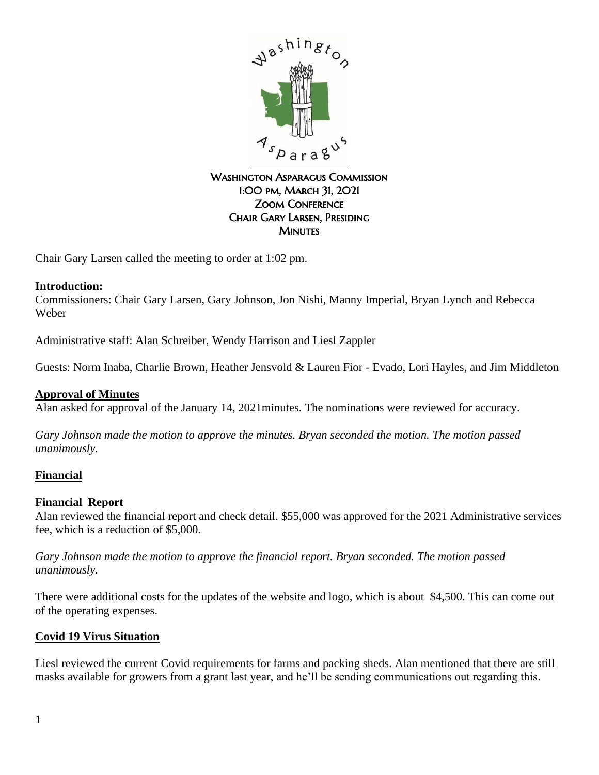

### WASHINGTON ASPARAGUS COMMISSION 1:00 pm, March 31, 2021 Zoom Conference Chair Gary Larsen, Presiding **MINUTES**

Chair Gary Larsen called the meeting to order at 1:02 pm.

### **Introduction:**

Commissioners: Chair Gary Larsen, Gary Johnson, Jon Nishi, Manny Imperial, Bryan Lynch and Rebecca Weber

Administrative staff: Alan Schreiber, Wendy Harrison and Liesl Zappler

Guests: Norm Inaba, Charlie Brown, Heather Jensvold & Lauren Fior - Evado, Lori Hayles, and Jim Middleton

#### **Approval of Minutes**

Alan asked for approval of the January 14, 2021minutes. The nominations were reviewed for accuracy.

*Gary Johnson made the motion to approve the minutes. Bryan seconded the motion. The motion passed unanimously.*

### **Financial**

#### **Financial Report**

Alan reviewed the financial report and check detail. \$55,000 was approved for the 2021 Administrative services fee, which is a reduction of \$5,000.

*Gary Johnson made the motion to approve the financial report. Bryan seconded. The motion passed unanimously.* 

There were additional costs for the updates of the website and logo, which is about \$4,500. This can come out of the operating expenses.

#### **Covid 19 Virus Situation**

Liesl reviewed the current Covid requirements for farms and packing sheds. Alan mentioned that there are still masks available for growers from a grant last year, and he'll be sending communications out regarding this.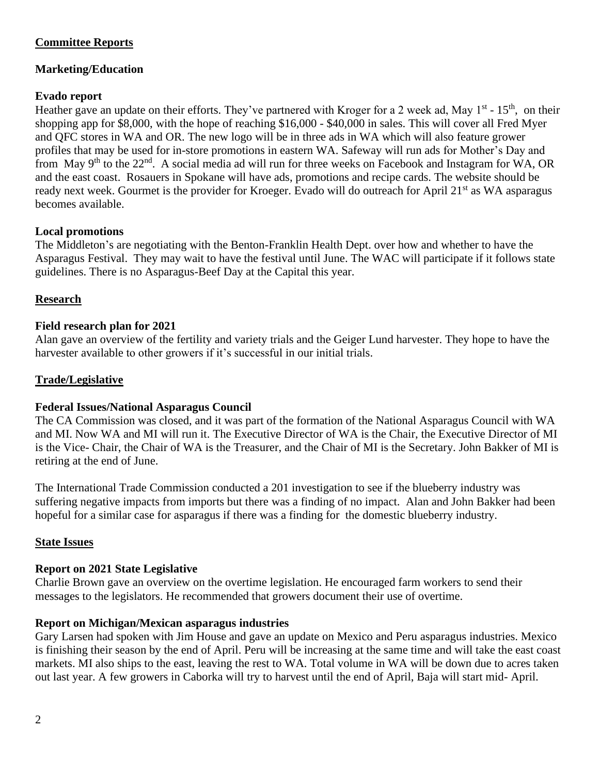## **Committee Reports**

# **Marketing/Education**

## **Evado report**

Heather gave an update on their efforts. They've partnered with Kroger for a 2 week ad, May 1<sup>st</sup> - 15<sup>th</sup>, on their shopping app for \$8,000, with the hope of reaching \$16,000 - \$40,000 in sales. This will cover all Fred Myer and QFC stores in WA and OR. The new logo will be in three ads in WA which will also feature grower profiles that may be used for in-store promotions in eastern WA. Safeway will run ads for Mother's Day and from May 9<sup>th</sup> to the 22<sup>nd</sup>. A social media ad will run for three weeks on Facebook and Instagram for WA, OR and the east coast. Rosauers in Spokane will have ads, promotions and recipe cards. The website should be ready next week. Gourmet is the provider for Kroeger. Evado will do outreach for April 21<sup>st</sup> as WA asparagus becomes available.

## **Local promotions**

The Middleton's are negotiating with the Benton-Franklin Health Dept. over how and whether to have the Asparagus Festival. They may wait to have the festival until June. The WAC will participate if it follows state guidelines. There is no Asparagus-Beef Day at the Capital this year.

## **Research**

## **Field research plan for 2021**

Alan gave an overview of the fertility and variety trials and the Geiger Lund harvester. They hope to have the harvester available to other growers if it's successful in our initial trials.

### **Trade/Legislative**

### **Federal Issues/National Asparagus Council**

The CA Commission was closed, and it was part of the formation of the National Asparagus Council with WA and MI. Now WA and MI will run it. The Executive Director of WA is the Chair, the Executive Director of MI is the Vice- Chair, the Chair of WA is the Treasurer, and the Chair of MI is the Secretary. John Bakker of MI is retiring at the end of June.

The International Trade Commission conducted a 201 investigation to see if the blueberry industry was suffering negative impacts from imports but there was a finding of no impact. Alan and John Bakker had been hopeful for a similar case for asparagus if there was a finding for the domestic blueberry industry.

### **State Issues**

### **Report on 2021 State Legislative**

Charlie Brown gave an overview on the overtime legislation. He encouraged farm workers to send their messages to the legislators. He recommended that growers document their use of overtime.

### **Report on Michigan/Mexican asparagus industries**

Gary Larsen had spoken with Jim House and gave an update on Mexico and Peru asparagus industries. Mexico is finishing their season by the end of April. Peru will be increasing at the same time and will take the east coast markets. MI also ships to the east, leaving the rest to WA. Total volume in WA will be down due to acres taken out last year. A few growers in Caborka will try to harvest until the end of April, Baja will start mid- April.